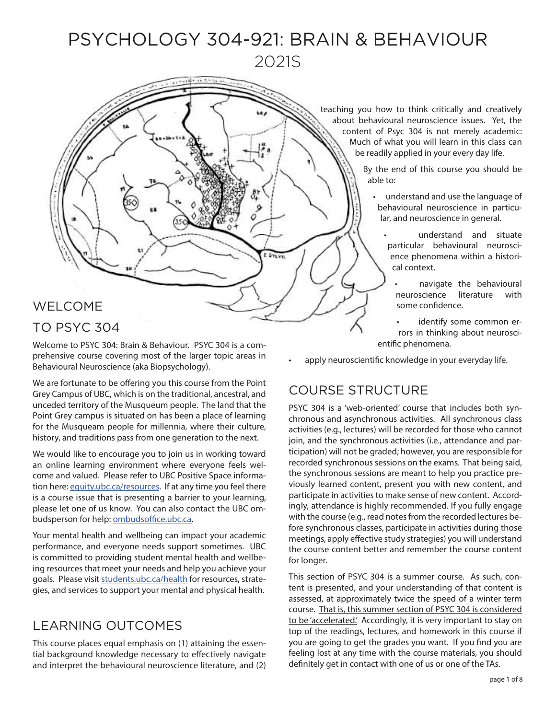# PSYCHOLOGY 304-921: BRAIN & BEHAVIOUR 2021S

E SYLVE

# WELCOME TO PSYC 304

Welcome to PSYC 304: Brain & Behaviour. PSYC 304 is a comprehensive course covering most of the larger topic areas in Behavioural Neuroscience (aka Biopsychology).

We are fortunate to be offering you this course from the Point Grey Campus of UBC, which is on the traditional, ancestral, and unceded territory of the Musqueum people. The land that the Point Grey campus is situated on has been a place of learning for the Musqueam people for millennia, where their culture, history, and traditions pass from one generation to the next.

We would like to encourage you to join us in working toward an online learning environment where everyone feels welcome and valued. Please refer to UBC Positive Space information here: [equity.ubc.ca/resources.](http://equity.ubc.ca/resources) If at any time you feel there is a course issue that is presenting a barrier to your learning, please let one of us know. You can also contact the UBC ombudsperson for help: [ombudsoffice.ubc.ca.](http://ombudsoffice.ubc.ca)

Your mental health and wellbeing can impact your academic performance, and everyone needs support sometimes. UBC is committed to providing student mental health and wellbeing resources that meet your needs and help you achieve your goals. Please visit [students.ubc.ca/health](http://students.ubc.ca/health) for resources, strategies, and services to support your mental and physical health.

# LEARNING OUTCOMES

This course places equal emphasis on (1) attaining the essential background knowledge necessary to effectively navigate and interpret the behavioural neuroscience literature, and (2) teaching you how to think critically and creatively about behavioural neuroscience issues. Yet, the content of Psyc 304 is not merely academic: Much of what you will learn in this class can be readily applied in your every day life.

> By the end of this course you should be able to:

- understand and use the language of behavioural neuroscience in particular, and neuroscience in general.
	- understand and situate particular behavioural neuroscience phenomena within a historical context.
		- navigate the behavioural neuroscience literature with some confidence.
	- identify some common errors in thinking about neuroscientific phenomena.
- apply neuroscientific knowledge in your everyday life.

# COURSE STRUCTURE

PSYC 304 is a 'web-oriented' course that includes both synchronous and asynchronous activities. All synchronous class activities (e.g., lectures) will be recorded for those who cannot join, and the synchronous activities (i.e., attendance and participation) will not be graded; however, you are responsible for recorded synchronous sessions on the exams. That being said, the synchronous sessions are meant to help you practice previously learned content, present you with new content, and participate in activities to make sense of new content. Accordingly, attendance is highly recommended. If you fully engage with the course (e.g., read notes from the recorded lectures before synchronous classes, participate in activities during those meetings, apply effective study strategies) you will understand the course content better and remember the course content for longer.

This section of PSYC 304 is a summer course. As such, content is presented, and your understanding of that content is assessed, at approximately twice the speed of a winter term course. That is, this summer section of PSYC 304 is considered to be 'accelerated.' Accordingly, it is very important to stay on top of the readings, lectures, and homework in this course if you are going to get the grades you want. If you find you are feeling lost at any time with the course materials, you should definitely get in contact with one of us or one of the TAs.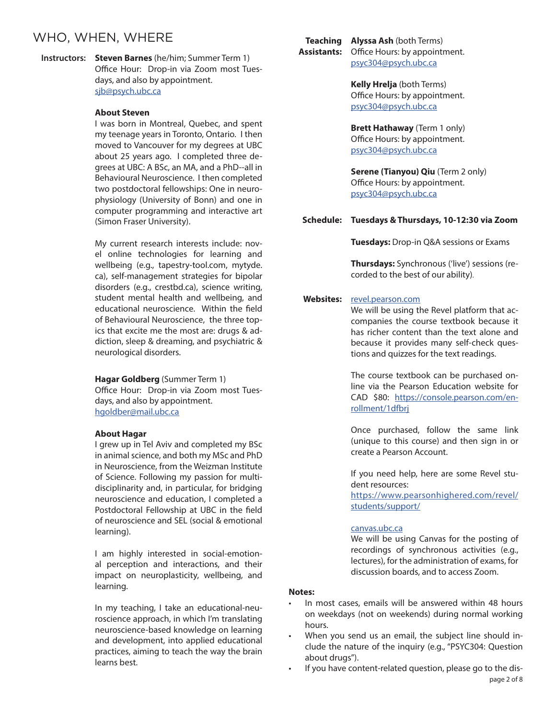## WHO, WHEN, WHERE

Instructors: **Steven Barnes** (he/him; Summer Term 1) Office Hour: Drop-in via Zoom most Tuesdays, and also by appointment. [sjb@psych.ubc.ca](mailto:sjb%40psych.ubc.ca?subject=PSYC304-921)

### **About Steven**

I was born in Montreal, Quebec, and spent my teenage years in Toronto, Ontario. I then moved to Vancouver for my degrees at UBC about 25 years ago. I completed three degrees at UBC: A BSc, an MA, and a PhD--all in Behavioural Neuroscience. I then completed two postdoctoral fellowships: One in neurophysiology (University of Bonn) and one in computer programming and interactive art (Simon Fraser University).

My current research interests include: novel online technologies for learning and wellbeing (e.g., tapestry-tool.com, mytyde. ca), self-management strategies for bipolar disorders (e.g., crestbd.ca), science writing, student mental health and wellbeing, and educational neuroscience. Within the field of Behavioural Neuroscience, the three topics that excite me the most are: drugs & addiction, sleep & dreaming, and psychiatric & neurological disorders.

**Hagar Goldberg** (Summer Term 1) Office Hour: Drop-in via Zoom most Tuesdays, and also by appointment. hgoldber@mail.ubc.ca

#### **About Hagar**

I grew up in Tel Aviv and completed my BSc in animal science, and both my MSc and PhD in Neuroscience, from the Weizman Institute of Science. Following my passion for multidisciplinarity and, in particular, for bridging neuroscience and education, I completed a Postdoctoral Fellowship at UBC in the field of neuroscience and SEL (social & emotional learning).

I am highly interested in social-emotional perception and interactions, and their impact on neuroplasticity, wellbeing, and learning.

In my teaching, I take an educational-neuroscience approach, in which I'm translating neuroscience-based knowledge on learning and development, into applied educational practices, aiming to teach the way the brain learns best.

**Teaching Alyssa Ash** (both Terms) **Assistants:** Office Hours: by appointment. [psyc304@psych.ubc.ca](mailto:psyc304@psych.ubc.ca)

> **Kelly Hrelja** (both Terms) Office Hours: by appointment. [psyc304@psych.ubc.ca](mailto:psyc304%40psych.ubc.ca?subject=PSYC304-921)

> **Brett Hathaway** (Term 1 only) Office Hours: by appointment. [psyc304@psych.ubc.ca](mailto:psyc304%40psych.ubc.ca?subject=PSYC304-921%20Summer%202021)

**Serene (Tianyou) Qiu** (Term 2 only) Office Hours: by appointment. [psyc304@psych.ubc.ca](mailto:psyc304%40psych.ubc.ca?subject=PSYC304-921%20Summer%202021)

#### **Schedule: Tuesdays & Thursdays, 10-12:30 via Zoom**

**Tuesdays:** Drop-in Q&A sessions or Exams

**Thursdays:** Synchronous ('live') sessions (recorded to the best of our ability).

#### **Websites:** r[evel.pearson.com](http://Revel.pearson.com)

We will be using the Revel platform that accompanies the course textbook because it has richer content than the text alone and because it provides many self-check questions and quizzes for the text readings.

The course textbook can be purchased online via the Pearson Education website for CAD \$80: [https://console.pearson.com/en](https://console.pearson.com/enrollment/1dfbrj )[rollment/1dfbrj](https://console.pearson.com/enrollment/1dfbrj )

Once purchased, follow the same link (unique to this course) and then sign in or create a Pearson Account.

If you need help, here are some Revel student resources:

[https://www.pearsonhighered.com/revel/](https://www.pearsonhighered.com/revel/students/support/) [students/support/](https://www.pearsonhighered.com/revel/students/support/)

#### [canvas.ubc.ca](http://Canvas.ubc.ca)

We will be using Canvas for the posting of recordings of synchronous activities (e.g., lectures), for the administration of exams, for discussion boards, and to access Zoom.

### **Notes:**

- In most cases, emails will be answered within 48 hours on weekdays (not on weekends) during normal working hours.
- When you send us an email, the subject line should include the nature of the inquiry (e.g., "PSYC304: Question about drugs").
- If you have content-related question, please go to the dispage 2 of 8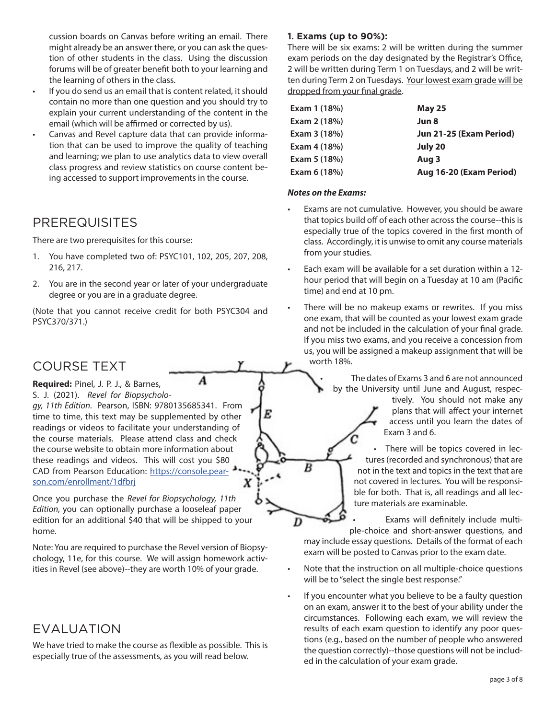cussion boards on Canvas before writing an email. There might already be an answer there, or you can ask the question of other students in the class. Using the discussion forums will be of greater benefit both to your learning and the learning of others in the class.

- If you do send us an email that is content related, it should contain no more than one question and you should try to explain your current understanding of the content in the email (which will be affirmed or corrected by us).
- Canvas and Revel capture data that can provide information that can be used to improve the quality of teaching and learning; we plan to use analytics data to view overall class progress and review statistics on course content being accessed to support improvements in the course.

## PREREQUISITES

There are two prerequisites for this course:

- 1. You have completed two of: PSYC101, 102, 205, 207, 208, 216, 217.
- 2. You are in the second year or later of your undergraduate degree or you are in a graduate degree.

(Note that you cannot receive credit for both PSYC304 and PSYC370/371.)

A

## COURSE TEXT

**Required:** Pinel, J. P. J., & Barnes, S. J. (2021). *Revel for Biopsycholo-*

*gy, 11th Edition.* Pearson, ISBN: 9780135685341. From time to time, this text may be supplemented by other readings or videos to facilitate your understanding of the course materials. Please attend class and check the course website to obtain more information about these readings and videos. This will cost you \$80 CAD from Pearson Education: [https://console.pear](https://console.pearson.com/enrollment/1dfbrj )[son.com/enrollment/1dfbrj](https://console.pearson.com/enrollment/1dfbrj ) x

Once you purchase the *Revel for Biopsychology, 11th Edition,* you can optionally purchase a looseleaf paper edition for an additional \$40 that will be shipped to your home.

Note: You are required to purchase the Revel version of Biopsychology, 11e, for this course. We will assign homework activities in Revel (see above)--they are worth 10% of your grade.

# EVALUATION

We have tried to make the course as flexible as possible. This is especially true of the assessments, as you will read below.

## **1. Exams (up to 90%):**

There will be six exams: 2 will be written during the summer exam periods on the day designated by the Registrar's Office, 2 will be written during Term 1 on Tuesdays, and 2 will be written during Term 2 on Tuesdays. Your lowest exam grade will be dropped from your final grade.

| Exam 1 (18%) | <b>May 25</b>           |
|--------------|-------------------------|
| Exam 2 (18%) | Jun 8                   |
| Exam 3 (18%) | Jun 21-25 (Exam Period) |
| Exam 4 (18%) | July 20                 |
| Exam 5 (18%) | Aug 3                   |
| Exam 6 (18%) | Aug 16-20 (Exam Period) |
|              |                         |

### *Notes on the Exams:*

B

D

- Exams are not cumulative. However, you should be aware that topics build off of each other across the course--this is especially true of the topics covered in the first month of class. Accordingly, it is unwise to omit any course materials from your studies.
- Each exam will be available for a set duration within a 12 hour period that will begin on a Tuesday at 10 am (Pacific time) and end at 10 pm.
- There will be no makeup exams or rewrites. If you miss one exam, that will be counted as your lowest exam grade and not be included in the calculation of your final grade. If you miss two exams, and you receive a concession from us, you will be assigned a makeup assignment that will be worth 18%.

The dates of Exams 3 and 6 are not announced by the University until June and August, respec-

tively. You should not make any plans that will affect your internet access until you learn the dates of Exam 3 and 6.

There will be topics covered in lectures (recorded and synchronous) that are not in the text and topics in the text that are not covered in lectures. You will be responsible for both. That is, all readings and all lecture materials are examinable.

• Exams will definitely include multiple-choice and short-answer questions, and may include essay questions. Details of the format of each exam will be posted to Canvas prior to the exam date.

- Note that the instruction on all multiple-choice questions will be to "select the single best response."
- If you encounter what you believe to be a faulty question on an exam, answer it to the best of your ability under the circumstances. Following each exam, we will review the results of each exam question to identify any poor questions (e.g., based on the number of people who answered the question correctly)--those questions will not be included in the calculation of your exam grade.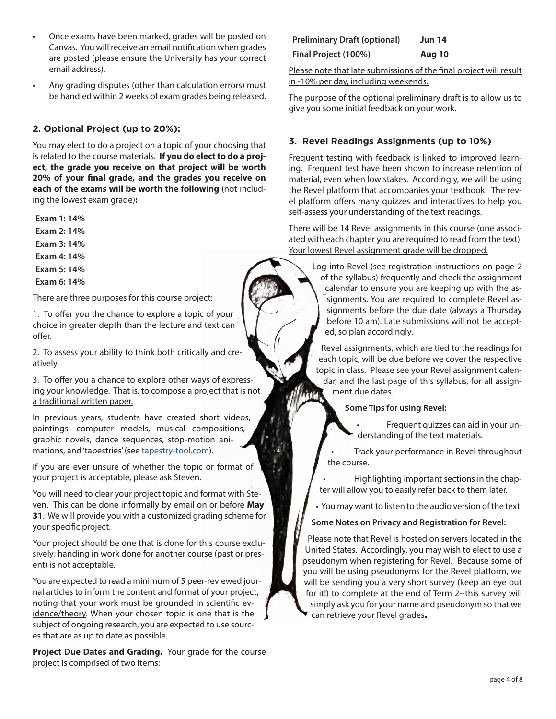- Once exams have been marked, grades will be posted on Canvas. You will receive an email notification when grades are posted (please ensure the University has your correct email address).
- Any grading disputes (other than calculation errors) must be handled within 2 weeks of exam grades being released.

### **2. Optional Project (up to 20%):**

You may elect to do a project on a topic of your choosing that is related to the course materials. **If you do elect to do a project, the grade you receive on that project will be worth 20% of your final grade, and the grades you receive on each of the exams will be worth the following** (not including the lowest exam grade)**:**

Exam 1: 14%

Exam 2: 14%

Exam 3: 14%

Exam 4: 14%

Exam 5: 14%

Exam 6: 14%

There are three purposes for this course project:

1. To offer you the chance to explore a topic of your choice in greater depth than the lecture and text can offer.

2. To assess your ability to think both critically and creatively.

3. To offer you a chance to explore other ways of expressing your knowledge. That is, to compose a project that is not a traditional written paper.

In previous years, students have created short videos, paintings, computer models, musical compositions, graphic novels, dance sequences, stop-motion animations, and 'tapestries' (see [tapestry-tool.com](http://tapestry-tool.com)).

If you are ever unsure of whether the topic or format of your project is acceptable, please ask Steven.

You will need to clear your project topic and format with Steven. This can be done informally by email on or before **May 31**. We will provide you with a customized grading scheme for your specific project.

Your project should be one that is done for this course exclusively; handing in work done for another course (past or present) is not acceptable.

You are expected to read a minimum of 5 peer-reviewed journal articles to inform the content and format of your project, noting that your work must be grounded in scientific evidence/theory. When your chosen topic is one that is the subject of ongoing research, you are expected to use sources that are as up to date as possible.

**Project Due Dates and Grading.** Your grade for the course project is comprised of two items:

| <b>Preliminary Draft (optional)</b> | <b>Jun 14</b> |
|-------------------------------------|---------------|
| Final Project (100%)                | Aug 10        |

Please note that late submissions of the final project will result in -10% per day, including weekends.

The purpose of the optional preliminary draft is to allow us to give you some initial feedback on your work.

### **3. Revel Readings Assignments (up to 10%)**

Frequent testing with feedback is linked to improved learning. Frequent test have been shown to increase retention of material, even when low stakes. Accordingly, we will be using the Revel platform that accompanies your textbook. The revel platform offers many quizzes and interactives to help you self-assess your understanding of the text readings.

There will be 14 Revel assignments in this course (one associated with each chapter you are required to read from the text). Your lowest Revel assignment grade will be dropped.

Log into Revel (see registration instructions on page 2 of the syllabus) frequently and check the assignment calendar to ensure you are keeping up with the assignments. You are required to complete Revel assignments before the due date (always a Thursday before 10 am). Late submissions will not be accepted, so plan accordingly.

Revel assignments, which are tied to the readings for each topic, will be due before we cover the respective topic in class. Please see your Revel assignment calendar, and the last page of this syllabus, for all assignment due dates.

Some Tips for using Revel:

• Frequent quizzes can aid in your understanding of the text materials.

• Track your performance in Revel throughout the course.

• Highlighting important sections in the chapter will allow you to easily refer back to them later.

• You may want to listen to the audio version of the text.

### Some Notes on Privacy and Registration for Revel:

Please note that Revel is hosted on servers located in the United States. Accordingly, you may wish to elect to use a pseudonym when registering for Revel. Because some of you will be using pseudonyms for the Revel platform, we will be sending you a very short survey (keep an eye out for it!) to complete at the end of Term 2--this survey will simply ask you for your name and pseudonym so that we can retrieve your Revel grades**.**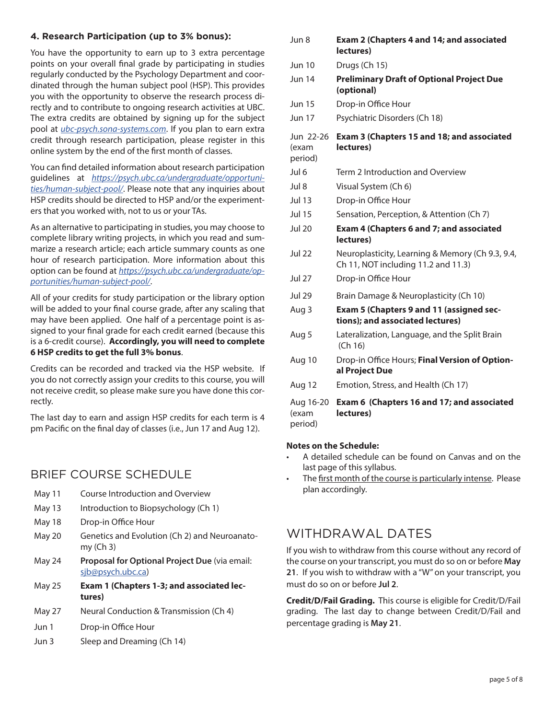### **4. Research Participation (up to 3% bonus):**

You have the opportunity to earn up to 3 extra percentage points on your overall final grade by participating in studies regularly conducted by the Psychology Department and coordinated through the human subject pool (HSP). This provides you with the opportunity to observe the research process directly and to contribute to ongoing research activities at UBC. The extra credits are obtained by signing up for the subject pool at *[ubc-psych.sona-systems.com](https://ubc-psych.sona-systems.com)*. If you plan to earn extra credit through research participation, please register in this online system by the end of the first month of classes.

You can find detailed information about research participation guidelines at *[https://psych.ubc.ca/undergraduate/opportuni](https://psych.ubc.ca/undergraduate/opportunities/human-subject-pool/)[ties/human-subject-pool/](https://psych.ubc.ca/undergraduate/opportunities/human-subject-pool/)*. Please note that any inquiries about HSP credits should be directed to HSP and/or the experimenters that you worked with, not to us or your TAs.

As an alternative to participating in studies, you may choose to complete library writing projects, in which you read and summarize a research article; each article summary counts as one hour of research participation. More information about this option can be found at *[https://psych.ubc.ca/undergraduate/op](https://psych.ubc.ca/undergraduate/opportunities/human-subject-pool/)[portunities/human-subject-pool/](https://psych.ubc.ca/undergraduate/opportunities/human-subject-pool/)*.

All of your credits for study participation or the library option will be added to your final course grade, after any scaling that may have been applied. One half of a percentage point is assigned to your final grade for each credit earned (because this is a 6-credit course). **Accordingly, you will need to complete 6 HSP credits to get the full 3% bonus**.

Credits can be recorded and tracked via the HSP website. If you do not correctly assign your credits to this course, you will not receive credit, so please make sure you have done this correctly.

The last day to earn and assign HSP credits for each term is 4 pm Pacific on the final day of classes (i.e., Jun 17 and Aug 12).

### BRIEF COURSE SCHEDULE

- May 11 Course Introduction and Overview
- May 13 Introduction to Biopsychology (Ch 1)
- May 18 Drop-in Office Hour
- May 20 Genetics and Evolution (Ch 2) and Neuroanatomy (Ch 3)
- May 24 Proposal for Optional Project Due (via email: [sjb@psych.ubc.ca](mailto:sjb%40psych.ubc.ca?subject=PSYC304-921))
- May 25 **Exam 1 (Chapters 1-3; and associated lectures)**
- May 27 Neural Conduction & Transmission (Ch 4)
- Jun 1 Drop-in Office Hour
- Jun 3 Sleep and Dreaming (Ch 14)

| Jun 8                         | Exam 2 (Chapters 4 and 14; and associated<br>lectures)                                  |
|-------------------------------|-----------------------------------------------------------------------------------------|
| <b>Jun 10</b>                 | Drugs (Ch 15)                                                                           |
| <b>Jun 14</b>                 | <b>Preliminary Draft of Optional Project Due</b><br>(optional)                          |
| <b>Jun 15</b>                 | Drop-in Office Hour                                                                     |
| <b>Jun 17</b>                 | Psychiatric Disorders (Ch 18)                                                           |
| Jun 22-26<br>(exam<br>period) | Exam 3 (Chapters 15 and 18; and associated<br>lectures)                                 |
| Jul 6                         | Term 2 Introduction and Overview                                                        |
| Jul 8                         | Visual System (Ch 6)                                                                    |
| <b>Jul 13</b>                 | Drop-in Office Hour                                                                     |
| <b>Jul 15</b>                 | Sensation, Perception, & Attention (Ch 7)                                               |
| <b>Jul 20</b>                 | Exam 4 (Chapters 6 and 7; and associated<br>lectures)                                   |
| Jul 22                        | Neuroplasticity, Learning & Memory (Ch 9.3, 9.4,<br>Ch 11, NOT including 11.2 and 11.3) |
| <b>Jul 27</b>                 | Drop-in Office Hour                                                                     |
| Jul 29                        | Brain Damage & Neuroplasticity (Ch 10)                                                  |
| Aug 3                         | Exam 5 (Chapters 9 and 11 (assigned sec-<br>tions); and associated lectures)            |
| Aug 5                         | Lateralization, Language, and the Split Brain<br>(Ch 16)                                |
| Aug 10                        | Drop-in Office Hours; Final Version of Option-<br>al Project Due                        |
| Aug 12                        | Emotion, Stress, and Health (Ch 17)                                                     |
| Aug 16-20<br>(exam<br>period) | Exam 6 (Chapters 16 and 17; and associated<br>lectures)                                 |

### **Notes on the Schedule:**

- A detailed schedule can be found on Canvas and on the last page of this syllabus.
- The first month of the course is particularly intense. Please plan accordingly.

### WITHDRAWAL DATES

If you wish to withdraw from this course without any record of the course on your transcript, you must do so on or before May 21. If you wish to withdraw with a "W" on your transcript, you must do so on or before Jul 2.

**Credit/D/Fail Grading.** This course is eligible for Credit/D/Fail grading. The last day to change between Credit/D/Fail and percentage grading is May 21.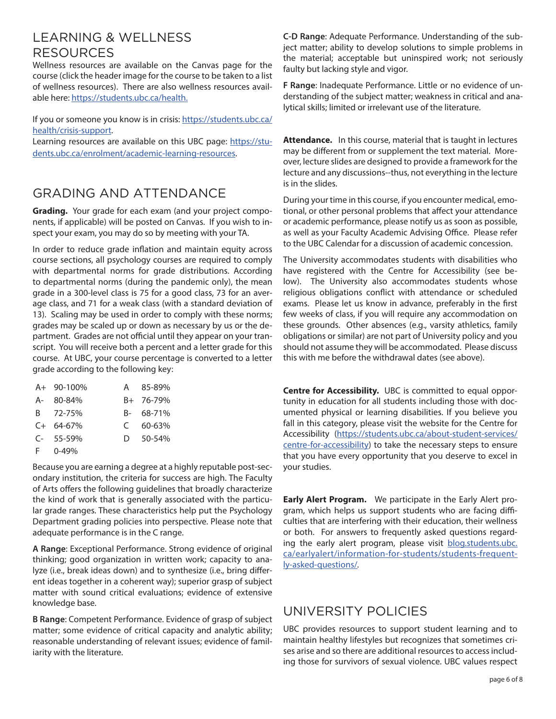# LEARNING & WELLNESS RESOURCES

Wellness resources are available on the Canvas page for the course (click the header image for the course to be taken to a list of wellness resources). There are also wellness resources available here: [https://students.ubc.ca/health.](https://students.ubc.ca/health)

If you or someone you know is in crisis: [https://students.ubc.ca/](https://students.ubc.ca/health/crisis-support) [health/crisis-support.](https://students.ubc.ca/health/crisis-support)

Learning resources are available on this UBC page: [https://stu](https://students.ubc.ca/enrolment/academic-learning-resources)[dents.ubc.ca/enrolment/academic-learning-resources](https://students.ubc.ca/enrolment/academic-learning-resources).

# GRADING AND ATTENDANCE

**Grading.** Your grade for each exam (and your project components, if applicable) will be posted on Canvas. If you wish to inspect your exam, you may do so by meeting with your TA.

In order to reduce grade inflation and maintain equity across course sections, all psychology courses are required to comply with departmental norms for grade distributions. According to departmental norms (during the pandemic only), the mean grade in a 300-level class is 75 for a good class, 73 for an average class, and 71 for a weak class (with a standard deviation of 13). Scaling may be used in order to comply with these norms; grades may be scaled up or down as necessary by us or the department. Grades are not official until they appear on your transcript. You will receive both a percent and a letter grade for this course. At UBC, your course percentage is converted to a letter grade according to the following key:

| A+ 90-100%     | A 85-89%       |
|----------------|----------------|
| A- 80-84%      | B+ 76-79%      |
| B 72-75%       | B- 68-71%      |
| $C+ 64-67%$    | $C$ 60-63%     |
| $C-55-59%$     | $D = 50 - 54%$ |
| $F = 0 - 49\%$ |                |

Because you are earning a degree at a highly reputable post-secondary institution, the criteria for success are high. The Faculty of Arts offers the following guidelines that broadly characterize the kind of work that is generally associated with the particular grade ranges. These characteristics help put the Psychology Department grading policies into perspective. Please note that adequate performance is in the C range.

A Range: Exceptional Performance. Strong evidence of original thinking; good organization in written work; capacity to analyze (i.e., break ideas down) and to synthesize (i.e., bring different ideas together in a coherent way); superior grasp of subject matter with sound critical evaluations; evidence of extensive knowledge base.

B Range: Competent Performance. Evidence of grasp of subject matter; some evidence of critical capacity and analytic ability; reasonable understanding of relevant issues; evidence of familiarity with the literature.

C-D Range: Adequate Performance. Understanding of the subject matter; ability to develop solutions to simple problems in the material; acceptable but uninspired work; not seriously faulty but lacking style and vigor.

F Range: Inadequate Performance. Little or no evidence of understanding of the subject matter; weakness in critical and analytical skills; limited or irrelevant use of the literature.

**Attendance.** In this course, material that is taught in lectures may be different from or supplement the text material. Moreover, lecture slides are designed to provide a framework for the lecture and any discussions--thus, not everything in the lecture is in the slides.

During your time in this course, if you encounter medical, emotional, or other personal problems that affect your attendance or academic performance, please notify us as soon as possible, as well as your Faculty Academic Advising Office. Please refer to the UBC Calendar for a discussion of academic concession.

The University accommodates students with disabilities who have registered with the Centre for Accessibility (see below). The University also accommodates students whose religious obligations conflict with attendance or scheduled exams. Please let us know in advance, preferably in the first few weeks of class, if you will require any accommodation on these grounds. Other absences (e.g., varsity athletics, family obligations or similar) are not part of University policy and you should not assume they will be accommodated. Please discuss this with me before the withdrawal dates (see above).

**Centre for Accessibility.** UBC is committed to equal opportunity in education for all students including those with documented physical or learning disabilities. If you believe you fall in this category, please visit the website for the Centre for Accessibility [\(https://students.ubc.ca/about-student-services/](https://students.ubc.ca/about-student-services/centre-for-accessibility) [centre-for-accessibility](https://students.ubc.ca/about-student-services/centre-for-accessibility)) to take the necessary steps to ensure that you have every opportunity that you deserve to excel in your studies.

**Early Alert Program.** We participate in the Early Alert program, which helps us support students who are facing difficulties that are interfering with their education, their wellness or both. For answers to frequently asked questions regarding the early alert program, please visit [blog.students.ubc.](http://blog.students.ubc.ca/earlyalert/information-for-students/students-frequently-asked-questions/) [ca/earlyalert/information-for-students/students-frequent](http://blog.students.ubc.ca/earlyalert/information-for-students/students-frequently-asked-questions/)[ly-asked-questions/](http://blog.students.ubc.ca/earlyalert/information-for-students/students-frequently-asked-questions/)*.*

# UNIVERSITY POLICIES

UBC provides resources to support student learning and to maintain healthy lifestyles but recognizes that sometimes crises arise and so there are additional resources to access including those for survivors of sexual violence. UBC values respect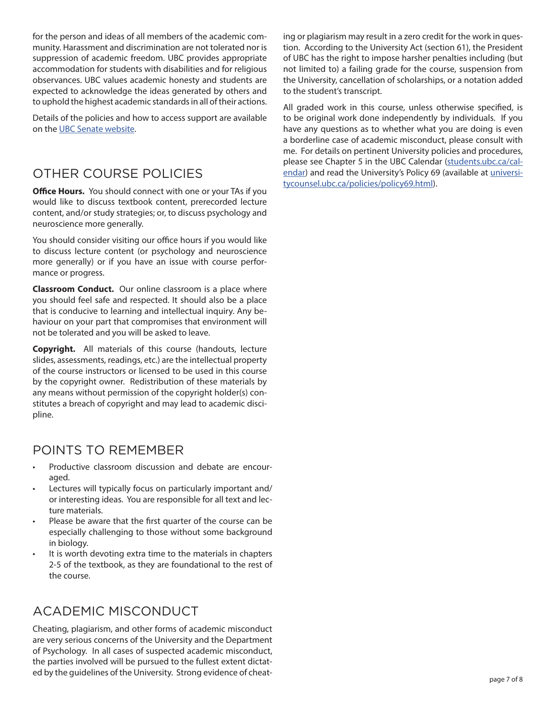for the person and ideas of all members of the academic community. Harassment and discrimination are not tolerated nor is suppression of academic freedom. UBC provides appropriate accommodation for students with disabilities and for religious observances. UBC values academic honesty and students are expected to acknowledge the ideas generated by others and to uphold the highest academic standards in all of their actions.

Details of the policies and how to access support are available on the [UBC Senate website](https://senate.ubc.ca/policies-resources-support-student-success).

# OTHER COURSE POLICIES

**Office Hours.** You should connect with one or your TAs if you would like to discuss textbook content, prerecorded lecture content, and/or study strategies; or, to discuss psychology and neuroscience more generally.

You should consider visiting our office hours if you would like to discuss lecture content (or psychology and neuroscience more generally) or if you have an issue with course performance or progress.

**Classroom Conduct.** Our online classroom is a place where you should feel safe and respected. It should also be a place that is conducive to learning and intellectual inquiry. Any behaviour on your part that compromises that environment will not be tolerated and you will be asked to leave.

**Copyright.** All materials of this course (handouts, lecture slides, assessments, readings, etc.) are the intellectual property of the course instructors or licensed to be used in this course by the copyright owner. Redistribution of these materials by any means without permission of the copyright holder(s) constitutes a breach of copyright and may lead to academic discipline.

# POINTS TO REMEMBER

- Productive classroom discussion and debate are encouraged.
- Lectures will typically focus on particularly important and/ or interesting ideas. You are responsible for all text and lecture materials.
- Please be aware that the first quarter of the course can be especially challenging to those without some background in biology.
- It is worth devoting extra time to the materials in chapters 2-5 of the textbook, as they are foundational to the rest of the course.

# ACADEMIC MISCONDUCT

Cheating, plagiarism, and other forms of academic misconduct are very serious concerns of the University and the Department of Psychology. In all cases of suspected academic misconduct, the parties involved will be pursued to the fullest extent dictated by the guidelines of the University. Strong evidence of cheating or plagiarism may result in a zero credit for the work in question. According to the University Act (section 61), the President of UBC has the right to impose harsher penalties including (but not limited to) a failing grade for the course, suspension from the University, cancellation of scholarships, or a notation added to the student's transcript.

All graded work in this course, unless otherwise specified, is to be original work done independently by individuals. If you have any questions as to whether what you are doing is even a borderline case of academic misconduct, please consult with me. For details on pertinent University policies and procedures, please see Chapter 5 in the UBC Calendar ([students.ubc.ca/cal](http://students.ubc.ca/calendar)[endar](http://students.ubc.ca/calendar)) and read the University's Policy 69 (available at [universi](http://www.universitycounsel.ubc.ca/policies/policy69.html)[tycounsel.ubc.ca/policies/policy69.html\)](http://www.universitycounsel.ubc.ca/policies/policy69.html).